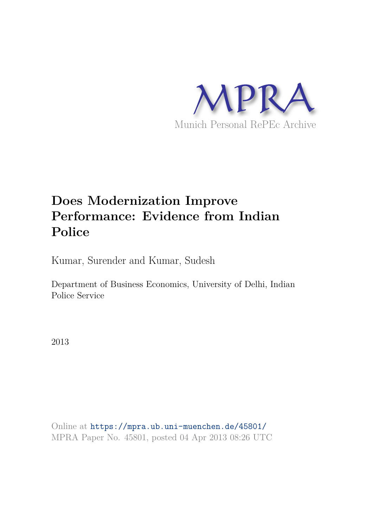

# **Does Modernization Improve Performance: Evidence from Indian Police**

Kumar, Surender and Kumar, Sudesh

Department of Business Economics, University of Delhi, Indian Police Service

2013

Online at https://mpra.ub.uni-muenchen.de/45801/ MPRA Paper No. 45801, posted 04 Apr 2013 08:26 UTC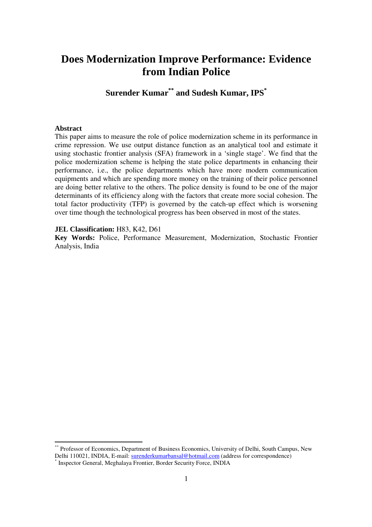# **Does Modernization Improve Performance: Evidence from Indian Police**

**Surender Kumar\*\* and Sudesh Kumar, IPS\*** 

#### **Abstract**

-

This paper aims to measure the role of police modernization scheme in its performance in crime repression. We use output distance function as an analytical tool and estimate it using stochastic frontier analysis (SFA) framework in a 'single stage'. We find that the police modernization scheme is helping the state police departments in enhancing their performance, i.e., the police departments which have more modern communication equipments and which are spending more money on the training of their police personnel are doing better relative to the others. The police density is found to be one of the major determinants of its efficiency along with the factors that create more social cohesion. The total factor productivity (TFP) is governed by the catch-up effect which is worsening over time though the technological progress has been observed in most of the states.

# **JEL Classification: H83, K42, D61**

**Key Words:** Police, Performance Measurement, Modernization, Stochastic Frontier Analysis, India

<sup>\*\*</sup> Professor of Economics, Department of Business Economics, University of Delhi, South Campus, New Delhi 110021, INDIA, E-mail: surenderkumarbansal@hotmail.com (address for correspondence) \* Inspector General, Meghalaya Frontier, Border Security Force, INDIA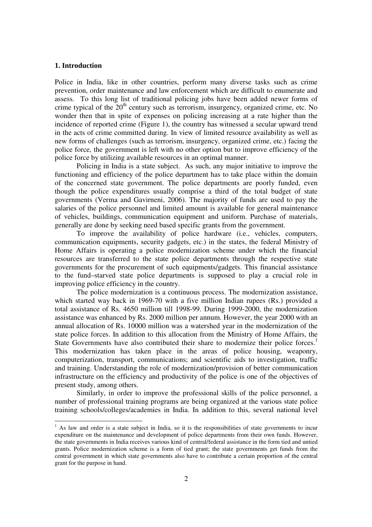#### **1. Introduction**

-

Police in India, like in other countries, perform many diverse tasks such as crime prevention, order maintenance and law enforcement which are difficult to enumerate and assess. To this long list of traditional policing jobs have been added newer forms of crime typical of the  $20<sup>th</sup>$  century such as terrorism, insurgency, organized crime, etc. No wonder then that in spite of expenses on policing increasing at a rate higher than the incidence of reported crime (Figure 1), the country has witnessed a secular upward trend in the acts of crime committed during. In view of limited resource availability as well as new forms of challenges (such as terrorism, insurgency, organized crime, etc.) facing the police force, the government is left with no other option but to improve efficiency of the police force by utilizing available resources in an optimal manner.

Policing in India is a state subject. As such, any major initiative to improve the functioning and efficiency of the police department has to take place within the domain of the concerned state government. The police departments are poorly funded, even though the police expenditures usually comprise a third of the total budget of state governments (Verma and Gavirneni, 2006). The majority of funds are used to pay the salaries of the police personnel and limited amount is available for general maintenance of vehicles, buildings, communication equipment and uniform. Purchase of materials, generally are done by seeking need based specific grants from the government.

To improve the availability of police hardware (i.e., vehicles, computers, communication equipments, security gadgets, etc.) in the states, the federal Ministry of Home Affairs is operating a police modernization scheme under which the financial resources are transferred to the state police departments through the respective state governments for the procurement of such equipments/gadgets. This financial assistance to the fund–starved state police departments is supposed to play a crucial role in improving police efficiency in the country.

 The police modernization is a continuous process. The modernization assistance, which started way back in 1969-70 with a five million Indian rupees (Rs.) provided a total assistance of Rs. 4650 million till 1998-99. During 1999-2000, the modernization assistance was enhanced by Rs. 2000 million per annum. However, the year 2000 with an annual allocation of Rs. 10000 million was a watershed year in the modernization of the state police forces. In addition to this allocation from the Ministry of Home Affairs, the State Governments have also contributed their share to modernize their police forces.<sup>1</sup> This modernization has taken place in the areas of police housing, weaponry, computerization, transport, communications; and scientific aids to investigation, traffic and training. Understanding the role of modernization/provision of better communication infrastructure on the efficiency and productivity of the police is one of the objectives of present study, among others.

Similarly, in order to improve the professional skills of the police personnel, a number of professional training programs are being organized at the various state police training schools/colleges/academies in India. In addition to this, several national level

<sup>&</sup>lt;sup>1</sup> As law and order is a state subject in India, so it is the responsibilities of state governments to incur expenditure on the maintenance and development of police departments from their own funds. However, the state governments in India receives various kind of central/federal assistance in the form tied and untied grants. Police modernization scheme is a form of tied grant; the state governments get funds from the central government in which state governments also have to contribute a certain proportion of the central grant for the purpose in hand.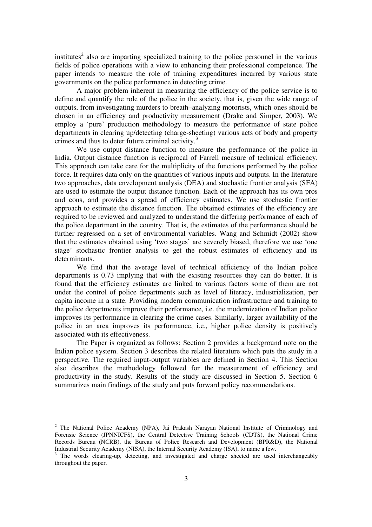institutes<sup>2</sup> also are imparting specialized training to the police personnel in the various fields of police operations with a view to enhancing their professional competence. The paper intends to measure the role of training expenditures incurred by various state governments on the police performance in detecting crime.

 A major problem inherent in measuring the efficiency of the police service is to define and quantify the role of the police in the society, that is, given the wide range of outputs, from investigating murders to breath–analyzing motorists, which ones should be chosen in an efficiency and productivity measurement (Drake and Simper, 2003). We employ a 'pure' production methodology to measure the performance of state police departments in clearing up/detecting (charge-sheeting) various acts of body and property crimes and thus to deter future criminal activity.<sup>3</sup>

We use output distance function to measure the performance of the police in India. Output distance function is reciprocal of Farrell measure of technical efficiency. This approach can take care for the multiplicity of the functions performed by the police force. It requires data only on the quantities of various inputs and outputs. In the literature two approaches, data envelopment analysis (DEA) and stochastic frontier analysis (SFA) are used to estimate the output distance function. Each of the approach has its own pros and cons, and provides a spread of efficiency estimates. We use stochastic frontier approach to estimate the distance function. The obtained estimates of the efficiency are required to be reviewed and analyzed to understand the differing performance of each of the police department in the country. That is, the estimates of the performance should be further regressed on a set of environmental variables. Wang and Schmidt (2002) show that the estimates obtained using 'two stages' are severely biased, therefore we use 'one stage' stochastic frontier analysis to get the robust estimates of efficiency and its determinants.

 We find that the average level of technical efficiency of the Indian police departments is 0.73 implying that with the existing resources they can do better. It is found that the efficiency estimates are linked to various factors some of them are not under the control of police departments such as level of literacy, industrialization, per capita income in a state. Providing modern communication infrastructure and training to the police departments improve their performance, i.e. the modernization of Indian police improves its performance in clearing the crime cases. Similarly, larger availability of the police in an area improves its performance, i.e., higher police density is positively associated with its effectiveness.

 The Paper is organized as follows: Section 2 provides a background note on the Indian police system. Section 3 describes the related literature which puts the study in a perspective. The required input-output variables are defined in Section 4. This Section also describes the methodology followed for the measurement of efficiency and productivity in the study. Results of the study are discussed in Section 5. Section 6 summarizes main findings of the study and puts forward policy recommendations.

-

<sup>&</sup>lt;sup>2</sup> The National Police Academy (NPA), Jai Prakash Narayan National Institute of Criminology and Forensic Science (JPNNICFS), the Central Detective Training Schools (CDTS), the National Crime Records Bureau (NCRB), the Bureau of Police Research and Development (BPR&D), the National Industrial Security Academy (NISA), the Internal Security Academy (ISA), to name a few.

<sup>&</sup>lt;sup>3</sup> The words clearing-up, detecting, and investigated and charge sheeted are used interchangeably throughout the paper.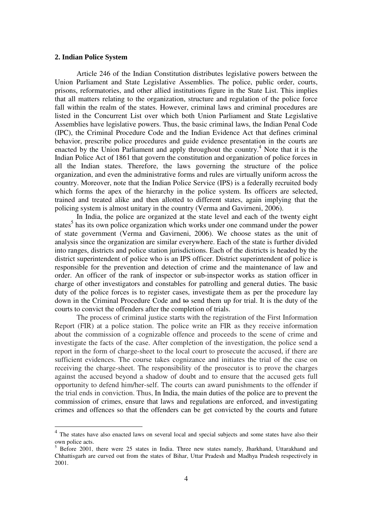#### **2. Indian Police System**

Article 246 of the Indian Constitution distributes legislative powers between the Union Parliament and State Legislative Assemblies. The police, public order, courts, prisons, reformatories, and other allied institutions figure in the State List. This implies that all matters relating to the organization, structure and regulation of the police force fall within the realm of the states. However, criminal laws and criminal procedures are listed in the Concurrent List over which both Union Parliament and State Legislative Assemblies have legislative powers. Thus, the basic criminal laws, the Indian Penal Code (IPC), the Criminal Procedure Code and the Indian Evidence Act that defines criminal behavior, prescribe police procedures and guide evidence presentation in the courts are enacted by the Union Parliament and apply throughout the country.<sup>4</sup> Note that it is the Indian Police Act of 1861 that govern the constitution and organization of police forces in all the Indian states. Therefore, the laws governing the structure of the police organization, and even the administrative forms and rules are virtually uniform across the country. Moreover, note that the Indian Police Service (IPS) is a federally recruited body which forms the apex of the hierarchy in the police system. Its officers are selected, trained and treated alike and then allotted to different states, again implying that the policing system is almost unitary in the country (Verma and Gavirneni, 2006).

 In India, the police are organized at the state level and each of the twenty eight states<sup>5</sup> has its own police organization which works under one command under the power of state government (Verma and Gavirneni, 2006). We choose states as the unit of analysis since the organization are similar everywhere. Each of the state is further divided into ranges, districts and police station jurisdictions. Each of the districts is headed by the district superintendent of police who is an IPS officer. District superintendent of police is responsible for the prevention and detection of crime and the maintenance of law and order. An officer of the rank of inspector or sub-inspector works as station officer in charge of other investigators and constables for patrolling and general duties. The basic duty of the police forces is to register cases, investigate them as per the procedure lay down in the Criminal Procedure Code and to send them up for trial. It is the duty of the courts to convict the offenders after the completion of trials.

 The process of criminal justice starts with the registration of the First Information Report (FIR) at a police station. The police write an FIR as they receive information about the commission of a cognizable offence and proceeds to the scene of crime and investigate the facts of the case. After completion of the investigation, the police send a report in the form of charge-sheet to the local court to prosecute the accused, if there are sufficient evidences. The course takes cognizance and initiates the trial of the case on receiving the charge-sheet. The responsibility of the prosecutor is to prove the charges against the accused beyond a shadow of doubt and to ensure that the accused gets full opportunity to defend him/her-self. The courts can award punishments to the offender if the trial ends in conviction. Thus, In India, the main duties of the police are to prevent the commission of crimes, ensure that laws and regulations are enforced, and investigating crimes and offences so that the offenders can be get convicted by the courts and future

The states have also enacted laws on several local and special subjects and some states have also their own police acts.

<sup>&</sup>lt;sup>5</sup> Before 2001, there were 25 states in India. Three new states namely, Jharkhand, Uttarakhand and Chhattisgarh are curved out from the states of Bihar, Uttar Pradesh and Madhya Pradesh respectively in 2001.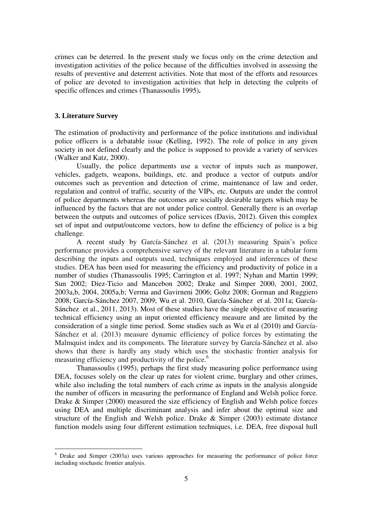crimes can be deterred. In the present study we focus only on the crime detection and investigation activities of the police because of the difficulties involved in assessing the results of preventive and deterrent activities. Note that most of the efforts and resources of police are devoted to investigation activities that help in detecting the culprits of specific offences and crimes (Thanassoulis 1995)**.** 

#### **3. Literature Survey**

 $\overline{a}$ 

The estimation of productivity and performance of the police institutions and individual police officers is a debatable issue (Kelling, 1992). The role of police in any given society in not defined clearly and the police is supposed to provide a variety of services (Walker and Katz, 2000).

Usually, the police departments use a vector of inputs such as manpower, vehicles, gadgets, weapons, buildings, etc. and produce a vector of outputs and/or outcomes such as prevention and detection of crime, maintenance of law and order, regulation and control of traffic, security of the VIPs, etc. Outputs are under the control of police departments whereas the outcomes are socially desirable targets which may be influenced by the factors that are not under police control. Generally there is an overlap between the outputs and outcomes of police services (Davis, 2012). Given this complex set of input and output/outcome vectors, how to define the efficiency of police is a big challenge.

A recent study by García-Sánchez et al. (2013) measuring Spain's police performance provides a comprehensive survey of the relevant literature in a tabular form describing the inputs and outputs used, techniques employed and inferences of these studies. DEA has been used for measuring the efficiency and productivity of police in a number of studies (Thanassoulis 1995; Carrington et al. 1997; Nyhan and Martin 1999; Sun 2002; Diez-Ticio and Mancebon 2002; Drake and Simper 2000, 2001, 2002, 2003a,b, 2004, 2005a,b; Verma and Gavirneni 2006; Goltz 2008; Gorman and Ruggiero 2008; García-Sánchez 2007, 2009; Wu et al. 2010, García-Sánchez et al. 2011a; García-Sánchez et al., 2011, 2013). Most of these studies have the single objective of measuring technical efficiency using an input oriented efficiency measure and are limited by the consideration of a single time period. Some studies such as Wu et al (2010) and García-Sánchez et al. (2013) measure dynamic efficiency of police forces by estimating the Malmquist index and its components. The literature survey by García-Sánchez et al. also shows that there is hardly any study which uses the stochastic frontier analysis for measuring efficiency and productivity of the police.<sup>6</sup>

Thanassoulis (1995), perhaps the first study measuring police performance using DEA, focuses solely on the clear up rates for violent crime, burglary and other crimes, while also including the total numbers of each crime as inputs in the analysis alongside the number of officers in measuring the performance of England and Welsh police force. Drake & Simper (2000) measured the size efficiency of English and Welsh police forces using DEA and multiple discriminant analysis and infer about the optimal size and structure of the English and Welsh police. Drake & Simper (2003) estimate distance function models using four different estimation techniques, i.e. DEA, free disposal hull

<sup>&</sup>lt;sup>6</sup> Drake and Simper (2003a) uses various approaches for measuring the performance of police force including stochastic frontier analysis.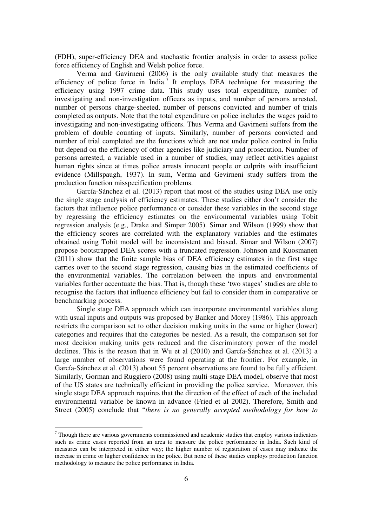(FDH), super-efficiency DEA and stochastic frontier analysis in order to assess police force efficiency of English and Welsh police force.

 Verma and Gavirneni (2006) is the only available study that measures the efficiency of police force in India.<sup>7</sup> It employs DEA technique for measuring the efficiency using 1997 crime data. This study uses total expenditure, number of investigating and non-investigation officers as inputs, and number of persons arrested, number of persons charge-sheeted, number of persons convicted and number of trials completed as outputs. Note that the total expenditure on police includes the wages paid to investigating and non-investigating officers. Thus Verma and Gavirneni suffers from the problem of double counting of inputs. Similarly, number of persons convicted and number of trial completed are the functions which are not under police control in India but depend on the efficiency of other agencies like judiciary and prosecution. Number of persons arrested, a variable used in a number of studies, may reflect activities against human rights since at times police arrests innocent people or culprits with insufficient evidence (Millspaugh, 1937). In sum, Verma and Gevirneni study suffers from the production function misspecification problems.

 García-Sánchez et al. (2013) report that most of the studies using DEA use only the single stage analysis of efficiency estimates. These studies either don't consider the factors that influence police performance or consider these variables in the second stage by regressing the efficiency estimates on the environmental variables using Tobit regression analysis (e.g., Drake and Simper 2005). Simar and Wilson (1999) show that the efficiency scores are correlated with the explanatory variables and the estimates obtained using Tobit model will be inconsistent and biased. Simar and Wilson (2007) propose bootstrapped DEA scores with a truncated regression. Johnson and Kuosmanen (2011) show that the finite sample bias of DEA efficiency estimates in the first stage carries over to the second stage regression, causing bias in the estimated coefficients of the environmental variables. The correlation between the inputs and environmental variables further accentuate the bias. That is, though these 'two stages' studies are able to recognise the factors that influence efficiency but fail to consider them in comparative or benchmarking process.

 Single stage DEA approach which can incorporate environmental variables along with usual inputs and outputs was proposed by Banker and Morey (1986). This approach restricts the comparison set to other decision making units in the same or higher (lower) categories and requires that the categories be nested. As a result, the comparison set for most decision making units gets reduced and the discriminatory power of the model declines. This is the reason that in Wu et al (2010) and García-Sánchez et al. (2013) a large number of observations were found operating at the frontier. For example, in García-Sánchez et al. (2013) about 55 percent observations are found to be fully efficient. Similarly, Gorman and Ruggiero (2008) using multi-stage DEA model, observe that most of the US states are technically efficient in providing the police service. Moreover, this single stage DEA approach requires that the direction of the effect of each of the included environmental variable be known in advance (Fried et al 2002). Therefore, Smith and Street (2005) conclude that "*there is no generally accepted methodology for how to* 

-

 $<sup>7</sup>$  Though there are various governments commissioned and academic studies that employ various indicators</sup> such as crime cases reported from an area to measure the police performance in India. Such kind of measures can be interpreted in either way; the higher number of registration of cases may indicate the increase in crime or higher confidence in the police. But none of these studies employs production function methodology to measure the police performance in India.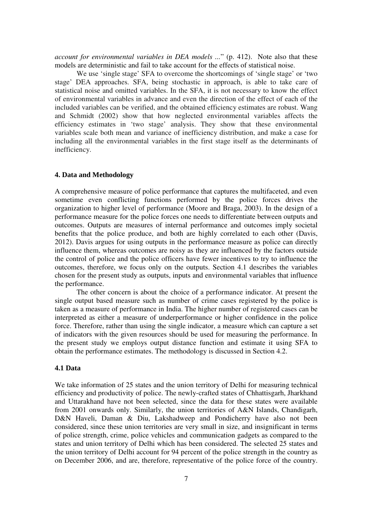*account for environmental variables in DEA models ...*" (p. 412). Note also that these models are deterministic and fail to take account for the effects of statistical noise.

We use 'single stage' SFA to overcome the shortcomings of 'single stage' or 'two stage' DEA approaches. SFA, being stochastic in approach, is able to take care of statistical noise and omitted variables. In the SFA, it is not necessary to know the effect of environmental variables in advance and even the direction of the effect of each of the included variables can be verified, and the obtained efficiency estimates are robust. Wang and Schmidt (2002) show that how neglected environmental variables affects the efficiency estimates in 'two stage' analysis. They show that these environmental variables scale both mean and variance of inefficiency distribution, and make a case for including all the environmental variables in the first stage itself as the determinants of inefficiency.

# **4. Data and Methodology**

A comprehensive measure of police performance that captures the multifaceted, and even sometime even conflicting functions performed by the police forces drives the organization to higher level of performance (Moore and Braga, 2003). In the design of a performance measure for the police forces one needs to differentiate between outputs and outcomes. Outputs are measures of internal performance and outcomes imply societal benefits that the police produce, and both are highly correlated to each other (Davis, 2012). Davis argues for using outputs in the performance measure as police can directly influence them, whereas outcomes are noisy as they are influenced by the factors outside the control of police and the police officers have fewer incentives to try to influence the outcomes, therefore, we focus only on the outputs. Section 4.1 describes the variables chosen for the present study as outputs, inputs and environmental variables that influence the performance.

 The other concern is about the choice of a performance indicator. At present the single output based measure such as number of crime cases registered by the police is taken as a measure of performance in India. The higher number of registered cases can be interpreted as either a measure of underperformance or higher confidence in the police force. Therefore, rather than using the single indicator, a measure which can capture a set of indicators with the given resources should be used for measuring the performance. In the present study we employs output distance function and estimate it using SFA to obtain the performance estimates. The methodology is discussed in Section 4.2.

#### **4.1 Data**

We take information of 25 states and the union territory of Delhi for measuring technical efficiency and productivity of police. The newly-crafted states of Chhattisgarh, Jharkhand and Uttarakhand have not been selected, since the data for these states were available from 2001 onwards only. Similarly, the union territories of A&N Islands, Chandigarh, D&N Haveli, Daman & Diu, Lakshadweep and Pondicherry have also not been considered, since these union territories are very small in size, and insignificant in terms of police strength, crime, police vehicles and communication gadgets as compared to the states and union territory of Delhi which has been considered. The selected 25 states and the union territory of Delhi account for 94 percent of the police strength in the country as on December 2006, and are, therefore, representative of the police force of the country.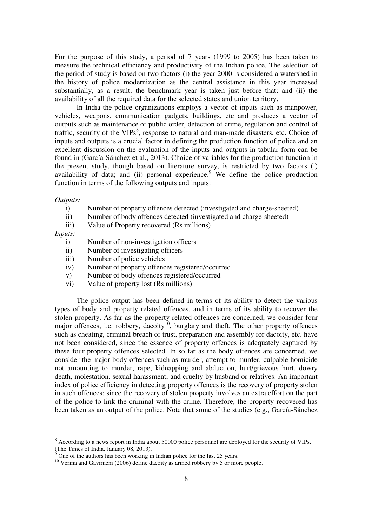For the purpose of this study, a period of 7 years (1999 to 2005) has been taken to measure the technical efficiency and productivity of the Indian police. The selection of the period of study is based on two factors (i) the year 2000 is considered a watershed in the history of police modernization as the central assistance in this year increased substantially, as a result, the benchmark year is taken just before that; and (ii) the availability of all the required data for the selected states and union territory.

In India the police organizations employs a vector of inputs such as manpower, vehicles, weapons, communication gadgets, buildings, etc and produces a vector of outputs such as maintenance of public order, detection of crime, regulation and control of traffic, security of the  $VIPS<sup>8</sup>$ , response to natural and man-made disasters, etc. Choice of inputs and outputs is a crucial factor in defining the production function of police and an excellent discussion on the evaluation of the inputs and outputs in tabular form can be found in (García-Sánchez et al., 2013). Choice of variables for the production function in the present study, though based on literature survey, is restricted by two factors (i) availability of data; and (ii) personal experience.<sup>9</sup> We define the police production function in terms of the following outputs and inputs:

*Outputs:* 

- i) Number of property offences detected (investigated and charge-sheeted)
- ii) Number of body offences detected (investigated and charge-sheeted)
- iii) Value of Property recovered (Rs millions)

*Inputs:* 

-

- i) Number of non-investigation officers
- ii) Number of investigating officers
- iii) Number of police vehicles
- iv) Number of property offences registered/occurred
- v) Number of body offences registered/occurred
- vi) Value of property lost (Rs millions)

The police output has been defined in terms of its ability to detect the various types of body and property related offences, and in terms of its ability to recover the stolen property. As far as the property related offences are concerned, we consider four major offences, i.e. robbery, dacoity<sup>10</sup>, burglary and theft. The other property offences such as cheating, criminal breach of trust, preparation and assembly for dacoity, etc. have not been considered, since the essence of property offences is adequately captured by these four property offences selected. In so far as the body offences are concerned, we consider the major body offences such as murder, attempt to murder, culpable homicide not amounting to murder, rape, kidnapping and abduction, hurt/grievous hurt, dowry death, molestation, sexual harassment, and cruelty by husband or relatives. An important index of police efficiency in detecting property offences is the recovery of property stolen in such offences; since the recovery of stolen property involves an extra effort on the part of the police to link the criminal with the crime. Therefore, the property recovered has been taken as an output of the police. Note that some of the studies (e.g., García-Sánchez

<sup>&</sup>lt;sup>8</sup> According to a news report in India about 50000 police personnel are deployed for the security of VIPs. (The Times of India, January 08, 2013).

One of the authors has been working in Indian police for the last 25 years.

<sup>&</sup>lt;sup>10</sup> Verma and Gavirneni (2006) define dacoity as armed robbery by 5 or more people.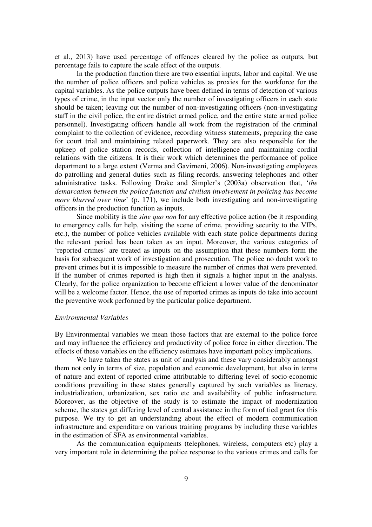et al., 2013) have used percentage of offences cleared by the police as outputs, but percentage fails to capture the scale effect of the outputs.

In the production function there are two essential inputs, labor and capital. We use the number of police officers and police vehicles as proxies for the workforce for the capital variables. As the police outputs have been defined in terms of detection of various types of crime, in the input vector only the number of investigating officers in each state should be taken; leaving out the number of non-investigating officers (non-investigating staff in the civil police, the entire district armed police, and the entire state armed police personnel). Investigating officers handle all work from the registration of the criminal complaint to the collection of evidence, recording witness statements, preparing the case for court trial and maintaining related paperwork. They are also responsible for the upkeep of police station records, collection of intelligence and maintaining cordial relations with the citizens. It is their work which determines the performance of police department to a large extent (Verma and Gavirneni, 2006). Non-investigating employees do patrolling and general duties such as filing records, answering telephones and other administrative tasks. Following Drake and Simpler's (2003a) observation that, '*the demarcation between the police function and civilian involvement in policing has become more blurred over time*' (p. 171), we include both investigating and non-investigating officers in the production function as inputs.

Since mobility is the *sine quo non* for any effective police action (be it responding to emergency calls for help, visiting the scene of crime, providing security to the VIPs, etc.), the number of police vehicles available with each state police departments during the relevant period has been taken as an input. Moreover, the various categories of 'reported crimes' are treated as inputs on the assumption that these numbers form the basis for subsequent work of investigation and prosecution. The police no doubt work to prevent crimes but it is impossible to measure the number of crimes that were prevented. If the number of crimes reported is high then it signals a higher input in the analysis. Clearly, for the police organization to become efficient a lower value of the denominator will be a welcome factor. Hence, the use of reported crimes as inputs do take into account the preventive work performed by the particular police department.

#### *Environmental Variables*

By Environmental variables we mean those factors that are external to the police force and may influence the efficiency and productivity of police force in either direction. The effects of these variables on the efficiency estimates have important policy implications.

We have taken the states as unit of analysis and these vary considerably amongst them not only in terms of size, population and economic development, but also in terms of nature and extent of reported crime attributable to differing level of socio-economic conditions prevailing in these states generally captured by such variables as literacy, industrialization, urbanization, sex ratio etc and availability of public infrastructure. Moreover, as the objective of the study is to estimate the impact of modernization scheme, the states get differing level of central assistance in the form of tied grant for this purpose. We try to get an understanding about the effect of modern communication infrastructure and expenditure on various training programs by including these variables in the estimation of SFA as environmental variables.

As the communication equipments (telephones, wireless, computers etc) play a very important role in determining the police response to the various crimes and calls for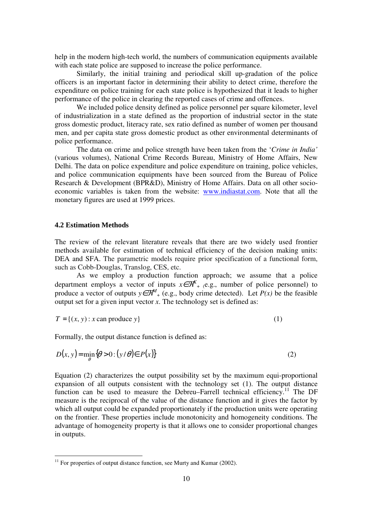help in the modern high-tech world, the numbers of communication equipments available with each state police are supposed to increase the police performance.

Similarly, the initial training and periodical skill up-gradation of the police officers is an important factor in determining their ability to detect crime, therefore the expenditure on police training for each state police is hypothesized that it leads to higher performance of the police in clearing the reported cases of crime and offences.

We included police density defined as police personnel per square kilometer, level of industrialization in a state defined as the proportion of industrial sector in the state gross domestic product, literacy rate, sex ratio defined as number of women per thousand men, and per capita state gross domestic product as other environmental determinants of police performance.

The data on crime and police strength have been taken from the '*Crime in India'* (various volumes), National Crime Records Bureau, Ministry of Home Affairs, New Delhi. The data on police expenditure and police expenditure on training, police vehicles, and police communication equipments have been sourced from the Bureau of Police Research & Development (BPR&D), Ministry of Home Affairs. Data on all other socioeconomic variables is taken from the website: www.indiastat.com. Note that all the monetary figures are used at 1999 prices.

## **4.2 Estimation Methods**

-

The review of the relevant literature reveals that there are two widely used frontier methods available for estimation of technical efficiency of the decision making units: DEA and SFA. The parametric models require prior specification of a functional form, such as Cobb-Douglas, Translog, CES, etc.

As we employ a production function approach; we assume that a police department employs a vector of inputs  $x \in \mathcal{R}^K$  + (e.g., number of police personnel) to produce a vector of outputs  $y \in \mathcal{R}^M$  + (e.g., body crime detected). Let *P(x)* be the feasible output set for a given input vector  $x$ . The technology set is defined as:

$$
T = \{(x, y) : x \text{ can produce } y\}
$$
 (1)

Formally, the output distance function is defined as:

$$
D(x, y) = \min_{\theta} \{ \theta > 0 : (y/\theta) \in P(x) \}
$$
 (2)

Equation (2) characterizes the output possibility set by the maximum equi-proportional expansion of all outputs consistent with the technology set (1). The output distance function can be used to measure the Debreu–Farrell technical efficiency.<sup>11</sup> The DF measure is the reciprocal of the value of the distance function and it gives the factor by which all output could be expanded proportionately if the production units were operating on the frontier. These properties include monotonicity and homogeneity conditions. The advantage of homogeneity property is that it allows one to consider proportional changes in outputs.

 $11$  For properties of output distance function, see Murty and Kumar (2002).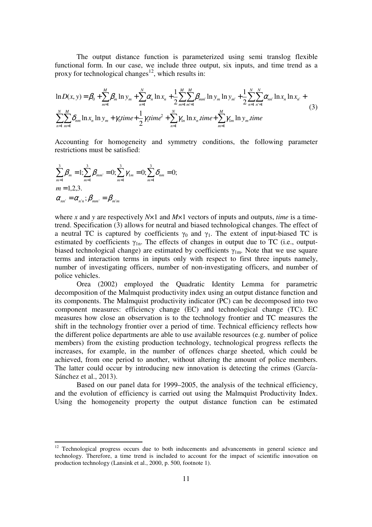The output distance function is parameterized using semi translog flexible functional form. In our case, we include three output, six inputs, and time trend as a proxy for technological changes<sup>12</sup>, which results in:

$$
\ln D(x, y) = \beta_0 + \sum_{m=1}^{M} \beta_m \ln y_m + \sum_{n=1}^{N} \alpha_n \ln x_n + \frac{1}{2} \sum_{m=1}^{M} \sum_{m=1}^{M} \beta_{mn} \ln y_m \ln y_m + \frac{1}{2} \sum_{n=1}^{N} \sum_{n=1}^{N} \alpha_{nn} \ln x_n \ln x_n + \sum_{n=1}^{N} \sum_{m=1}^{M} \delta_{nm} \ln x_n \ln y_m + \gamma_0 \text{time} + \frac{1}{2} \gamma_1 \text{time}^2 + \sum_{n=1}^{N} \gamma_n \ln x_n \text{time} + \sum_{m=1}^{M} \gamma_{1m} \ln y_m \text{time}
$$
\n(3)

Accounting for homogeneity and symmetry conditions, the following parameter restrictions must be satisfied:

$$
\sum_{m=1}^{3} \beta_m = 1; \sum_{m=1}^{3} \beta_{mm'} = 0; \sum_{m=1}^{3} \gamma_{1m} = 0; \sum_{m=1}^{3} \delta_{nm} = 0; m = 1, 2, 3.\n\alpha_{nn'} = \alpha_{n'n}; \beta_{mm'} = \beta_{m'm}
$$

-

where *x* and *y* are respectively *N*×1 and *M*×1 vectors of inputs and outputs, *time* is a timetrend. Specification (3) allows for neutral and biased technological changes. The effect of a neutral TC is captured by coefficients  $\gamma_0$  and  $\gamma_1$ . The extent of input-biased TC is estimated by coefficients  $\gamma_{1n}$ . The effects of changes in output due to TC (i.e., outputbiased technological change) are estimated by coefficients  $\gamma_{1m}$ . Note that we use square terms and interaction terms in inputs only with respect to first three inputs namely, number of investigating officers, number of non-investigating officers, and number of police vehicles.

Orea (2002) employed the Quadratic Identity Lemma for parametric decomposition of the Malmquist productivity index using an output distance function and its components. The Malmquist productivity indicator (PC) can be decomposed into two component measures: efficiency change (EC) and technological change (TC). EC measures how close an observation is to the technology frontier and TC measures the shift in the technology frontier over a period of time. Technical efficiency reflects how the different police departments are able to use available resources (e.g. number of police members) from the existing production technology, technological progress reflects the increases, for example, in the number of offences charge sheeted, which could be achieved, from one period to another, without altering the amount of police members. The latter could occur by introducing new innovation is detecting the crimes (García-Sánchez et al., 2013).

Based on our panel data for 1999–2005, the analysis of the technical efficiency, and the evolution of efficiency is carried out using the Malmquist Productivity Index. Using the homogeneity property the output distance function can be estimated

 $12$  Technological progress occurs due to both inducements and advancements in general science and technology. Therefore, a time trend is included to account for the impact of scientific innovation on production technology (Lansink et al., 2000, p. 500, footnote 1).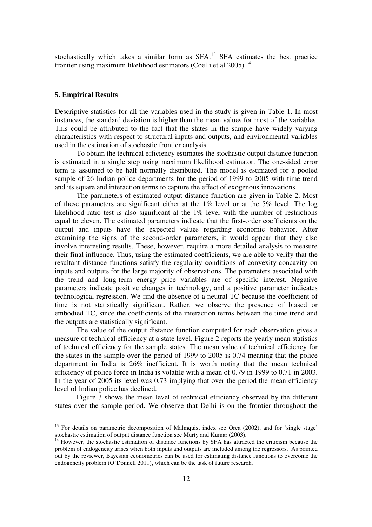stochastically which takes a similar form as  $SFA$ <sup>13</sup>  $SFA$  estimates the best practice frontier using maximum likelihood estimators (Coelli et al 2005).<sup>14</sup>

## **5. Empirical Results**

-

Descriptive statistics for all the variables used in the study is given in Table 1. In most instances, the standard deviation is higher than the mean values for most of the variables. This could be attributed to the fact that the states in the sample have widely varying characteristics with respect to structural inputs and outputs, and environmental variables used in the estimation of stochastic frontier analysis.

 To obtain the technical efficiency estimates the stochastic output distance function is estimated in a single step using maximum likelihood estimator. The one-sided error term is assumed to be half normally distributed. The model is estimated for a pooled sample of 26 Indian police departments for the period of 1999 to 2005 with time trend and its square and interaction terms to capture the effect of exogenous innovations.

 The parameters of estimated output distance function are given in Table 2. Most of these parameters are significant either at the  $1\%$  level or at the 5% level. The log likelihood ratio test is also significant at the 1% level with the number of restrictions equal to eleven. The estimated parameters indicate that the first-order coefficients on the output and inputs have the expected values regarding economic behavior. After examining the signs of the second-order parameters, it would appear that they also involve interesting results. These, however, require a more detailed analysis to measure their final influence. Thus, using the estimated coefficients, we are able to verify that the resultant distance functions satisfy the regularity conditions of convexity-concavity on inputs and outputs for the large majority of observations. The parameters associated with the trend and long-term energy price variables are of specific interest. Negative parameters indicate positive changes in technology, and a positive parameter indicates technological regression. We find the absence of a neutral TC because the coefficient of time is not statistically significant. Rather, we observe the presence of biased or embodied TC, since the coefficients of the interaction terms between the time trend and the outputs are statistically significant.

 The value of the output distance function computed for each observation gives a measure of technical efficiency at a state level. Figure 2 reports the yearly mean statistics of technical efficiency for the sample states. The mean value of technical efficiency for the states in the sample over the period of 1999 to 2005 is 0.74 meaning that the police department in India is 26% inefficient. It is worth noting that the mean technical efficiency of police force in India is volatile with a mean of 0.79 in 1999 to 0.71 in 2003. In the year of 2005 its level was 0.73 implying that over the period the mean efficiency level of Indian police has declined.

 Figure 3 shows the mean level of technical efficiency observed by the different states over the sample period. We observe that Delhi is on the frontier throughout the

<sup>&</sup>lt;sup>13</sup> For details on parametric decomposition of Malmquist index see Orea (2002), and for 'single stage' stochastic estimation of output distance function see Murty and Kumar (2003).

<sup>&</sup>lt;sup>14</sup> However, the stochastic estimation of distance functions by SFA has attracted the criticism because the problem of endogeneity arises when both inputs and outputs are included among the regressors. As pointed out by the reviewer, Bayesian econometrics can be used for estimating distance functions to overcome the endogeneity problem (O'Donnell 2011), which can be the task of future research.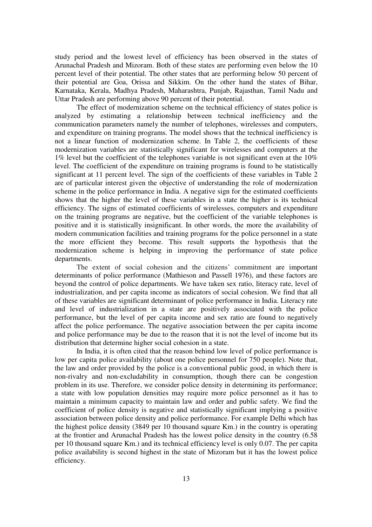study period and the lowest level of efficiency has been observed in the states of Arunachal Pradesh and Mizoram. Both of these states are performing even below the 10 percent level of their potential. The other states that are performing below 50 percent of their potential are Goa, Orissa and Sikkim. On the other hand the states of Bihar, Karnataka, Kerala, Madhya Pradesh, Maharashtra, Punjab, Rajasthan, Tamil Nadu and Uttar Pradesh are performing above 90 percent of their potential.

 The effect of modernization scheme on the technical efficiency of states police is analyzed by estimating a relationship between technical inefficiency and the communication parameters namely the number of telephones, wirelesses and computers, and expenditure on training programs. The model shows that the technical inefficiency is not a linear function of modernization scheme. In Table 2, the coefficients of these modernization variables are statistically significant for wirelesses and computers at the 1% level but the coefficient of the telephones variable is not significant even at the 10% level. The coefficient of the expenditure on training programs is found to be statistically significant at 11 percent level. The sign of the coefficients of these variables in Table 2 are of particular interest given the objective of understanding the role of modernization scheme in the police performance in India. A negative sign for the estimated coefficients shows that the higher the level of these variables in a state the higher is its technical efficiency. The signs of estimated coefficients of wirelesses, computers and expenditure on the training programs are negative, but the coefficient of the variable telephones is positive and it is statistically insignificant. In other words, the more the availability of modern communication facilities and training programs for the police personnel in a state the more efficient they become. This result supports the hypothesis that the modernization scheme is helping in improving the performance of state police departments.

The extent of social cohesion and the citizens' commitment are important determinants of police performance (Mathieson and Passell 1976), and these factors are beyond the control of police departments. We have taken sex ratio, literacy rate, level of industrialization, and per capita income as indicators of social cohesion. We find that all of these variables are significant determinant of police performance in India. Literacy rate and level of industrialization in a state are positively associated with the police performance, but the level of per capita income and sex ratio are found to negatively affect the police performance. The negative association between the per capita income and police performance may be due to the reason that it is not the level of income but its distribution that determine higher social cohesion in a state.

 In India, it is often cited that the reason behind low level of police performance is low per capita police availability (about one police personnel for 750 people). Note that, the law and order provided by the police is a conventional public good, in which there is non-rivalry and non-excludability in consumption, though there can be congestion problem in its use. Therefore, we consider police density in determining its performance; a state with low population densities may require more police personnel as it has to maintain a minimum capacity to maintain law and order and public safety. We find the coefficient of police density is negative and statistically significant implying a positive association between police density and police performance. For example Delhi which has the highest police density (3849 per 10 thousand square Km.) in the country is operating at the frontier and Arunachal Pradesh has the lowest police density in the country (6.58 per 10 thousand square Km.) and its technical efficiency level is only 0.07. The per capita police availability is second highest in the state of Mizoram but it has the lowest police efficiency.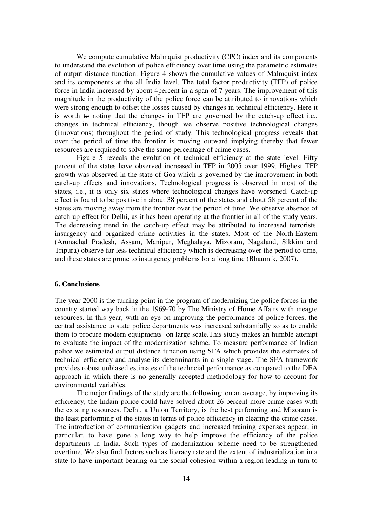We compute cumulative Malmquist productivity (CPC) index and its components to understand the evolution of police efficiency over time using the parametric estimates of output distance function. Figure 4 shows the cumulative values of Malmquist index and its components at the all India level. The total factor productivity (TFP) of police force in India increased by about 4percent in a span of 7 years. The improvement of this magnitude in the productivity of the police force can be attributed to innovations which were strong enough to offset the losses caused by changes in technical efficiency. Here it is worth to noting that the changes in TFP are governed by the catch-up effect i.e., changes in technical efficiency, though we observe positive technological changes (innovations) throughout the period of study. This technological progress reveals that over the period of time the frontier is moving outward implying thereby that fewer resources are required to solve the same percentage of crime cases.

 Figure 5 reveals the evolution of technical efficiency at the state level. Fifty percent of the states have observed increased in TFP in 2005 over 1999. Highest TFP growth was observed in the state of Goa which is governed by the improvement in both catch-up effects and innovations. Technological progress is observed in most of the states, i.e., it is only six states where technological changes have worsened. Catch-up effect is found to be positive in about 38 percent of the states and about 58 percent of the states are moving away from the frontier over the period of time. We observe absence of catch-up effect for Delhi, as it has been operating at the frontier in all of the study years. The decreasing trend in the catch-up effect may be attributed to increased terrorists, insurgency and organized crime activities in the states. Most of the North-Eastern (Arunachal Pradesh, Assam, Manipur, Meghalaya, Mizoram, Nagaland, Sikkim and Tripura) observe far less technical efficiency which is decreasing over the period to time, and these states are prone to insurgency problems for a long time (Bhaumik, 2007).

#### **6. Conclusions**

The year 2000 is the turning point in the program of modernizing the police forces in the country started way back in the 1969-70 by The Ministry of Home Affairs with meagre resources. In this year, with an eye on improving the performance of police forces, the central assistance to state police departments was increased substantially so as to enable them to procure modern equipments on large scale.This study makes an humble attempt to evaluate the impact of the modernization schme. To measure performance of Indian police we estimated output distance function using SFA which provides the estimates of technical efficiency and analyse its determinants in a single stage. The SFA framework provides robust unbiased estimates of the techncial performance as compared to the DEA approach in which there is no generally accepted methodology for how to account for environmental variables.

 The major findings of the study are the following: on an average, by improving its efficiency, the Indain police could have solved about 26 percent more crime cases with the existing resources. Delhi, a Union Territory, is the best performing and Mizoram is the least performing of the states in terms of police efficiency in clearing the crime cases. The introduction of communication gadgets and increased training expenses appear, in particular, to have gone a long way to help improve the efficiency of the police departments in India. Such types of modernization scheme need to be strengthened overtime. We also find factors such as literacy rate and the extent of industrialization in a state to have important bearing on the social cohesion within a region leading in turn to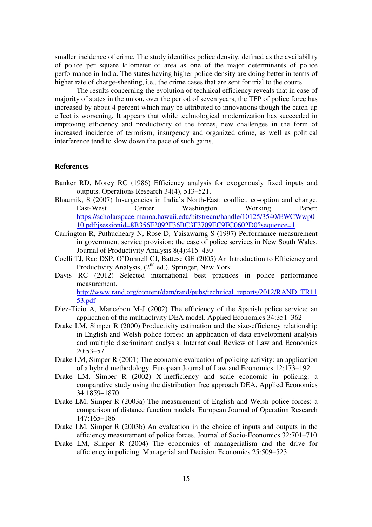smaller incidence of crime. The study identifies police density, defined as the availability of police per square kilometer of area as one of the major determinants of police performance in India. The states having higher police density are doing better in terms of higher rate of charge-sheeting, i.e., the crime cases that are sent for trial to the courts.

 The results concerning the evolution of technical efficiency reveals that in case of majority of states in the union, over the period of seven years, the TFP of police force has increased by about 4 percent which may be attributed to innovations though the catch-up effect is worsening. It appears that while technological modernization has succeeded in improving efficiency and productivity of the forces, new challenges in the form of increased incidence of terrorism, insurgency and organized crime, as well as political interference tend to slow down the pace of such gains.

#### **References**

- Banker RD, Morey RC (1986) Efficiency analysis for exogenously fixed inputs and outputs. Operations Research 34(4), 513–521.
- Bhaumik, S (2007) Insurgencies in India's North-East: conflict, co-option and change. East-West Center Washington Working Paper: https://scholarspace.manoa.hawaii.edu/bitstream/handle/10125/3540/EWCWwp0 10.pdf;jsessionid=8B356F2092F36BC3F3709EC9FC0602D0?sequence=1
- Carrington R, Puthucheary N, Rose D, Yaisawarng S (1997) Performance measurement in government service provision: the case of police services in New South Wales. Journal of Productivity Analysis 8(4):415–430
- Coelli TJ, Rao DSP, O'Donnell CJ, Battese GE (2005) An Introduction to Efficiency and Productivity Analysis,  $(2^{nd}$  ed.). Springer, New York
- Davis RC (2012) Selected international best practices in police performance measurement. http://www.rand.org/content/dam/rand/pubs/technical\_reports/2012/RAND\_TR11 53.pdf
- Diez-Ticio A, Mancebon M-J (2002) The efficiency of the Spanish police service: an application of the multiactivity DEA model. Applied Economics 34:351–362
- Drake LM, Simper R (2000) Productivity estimation and the size-efficiency relationship in English and Welsh police forces: an application of data envelopment analysis and multiple discriminant analysis. International Review of Law and Economics 20:53–57
- Drake LM, Simper R (2001) The economic evaluation of policing activity: an application of a hybrid methodology. European Journal of Law and Economics 12:173–192
- Drake LM, Simper R (2002) X-inefficiency and scale economic in policing: a comparative study using the distribution free approach DEA. Applied Economics 34:1859–1870
- Drake LM, Simper R (2003a) The measurement of English and Welsh police forces: a comparison of distance function models. European Journal of Operation Research 147:165–186
- Drake LM, Simper R (2003b) An evaluation in the choice of inputs and outputs in the efficiency measurement of police forces. Journal of Socio-Economics 32:701–710
- Drake LM, Simper R (2004) The economics of managerialism and the drive for efficiency in policing. Managerial and Decision Economics 25:509–523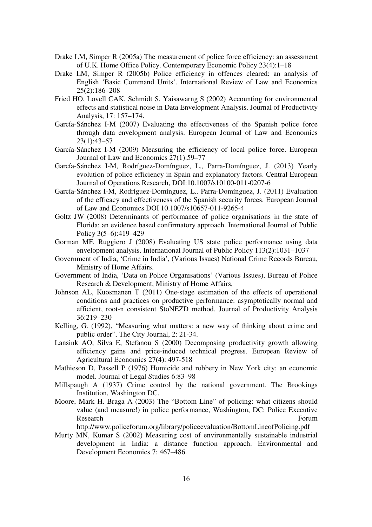- Drake LM, Simper R (2005a) The measurement of police force efficiency: an assessment of U.K. Home Office Policy. Contemporary Economic Policy 23(4):1–18
- Drake LM, Simper R (2005b) Police efficiency in offences cleared: an analysis of English 'Basic Command Units'. International Review of Law and Economics 25(2):186–208
- Fried HO, Lovell CAK, Schmidt S, Yaisawarng S (2002) Accounting for environmental effects and statistical noise in Data Envelopment Analysis. Journal of Productivity Analysis, 17: 157–174.
- García-Sánchez I-M (2007) Evaluating the effectiveness of the Spanish police force through data envelopment analysis. European Journal of Law and Economics 23(1):43–57
- García-Sánchez I-M (2009) Measuring the efficiency of local police force. European Journal of Law and Economics 27(1):59–77
- García-Sánchez I-M, Rodríguez-Domínguez, L., Parra-Domínguez, J. (2013) Yearly evolution of police efficiency in Spain and explanatory factors. Central European Journal of Operations Research, DOI:10.1007/s10100-011-0207-6
- García-Sánchez I-M, Rodríguez-Domínguez, L., Parra-Domínguez, J. (2011) Evaluation of the efficacy and effectiveness of the Spanish security forces. European Journal of Law and Economics DOI 10.1007/s10657-011-9265-4
- Goltz JW (2008) Determinants of performance of police organisations in the state of Florida: an evidence based confirmatory approach. International Journal of Public Policy 3(5–6):419–429
- Gorman MF, Ruggiero J (2008) Evaluating US state police performance using data envelopment analysis. International Journal of Public Policy 113(2):1031–1037
- Government of India, 'Crime in India', (Various Issues) National Crime Records Bureau, Ministry of Home Affairs.
- Government of India, 'Data on Police Organisations' (Various Issues), Bureau of Police Research & Development, Ministry of Home Affairs,
- Johnson AL, Kuosmanen T (2011) One-stage estimation of the effects of operational conditions and practices on productive performance: asymptotically normal and efficient, root-n consistent StoNEZD method. Journal of Productivity Analysis 36:219–230
- Kelling, G. (1992), "Measuring what matters: a new way of thinking about crime and public order", The City Journal, 2: 21-34.
- Lansink AO, Silva E, Stefanou S (2000) Decomposing productivity growth allowing efficiency gains and price-induced technical progress. European Review of Agricultural Economics 27(4): 497-518
- Mathieson D, Passell P (1976) Homicide and robbery in New York city: an economic model. Journal of Legal Studies 6:83–98
- Millspaugh A (1937) Crime control by the national government. The Brookings Institution, Washington DC.
- Moore, Mark H. Braga A (2003) The "Bottom Line" of policing: what citizens should value (and measure!) in police performance, Washington, DC: Police Executive Research Forum

http://www.policeforum.org/library/policeevaluation/BottomLineofPolicing.pdf

Murty MN, Kumar S (2002) Measuring cost of environmentally sustainable industrial development in India: a distance function approach. Environmental and Development Economics 7: 467–486.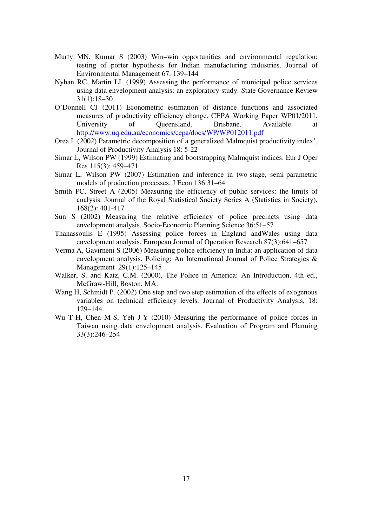- Murty MN, Kumar S (2003) Win–win opportunities and environmental regulation: testing of porter hypothesis for Indian manufacturing industries. Journal of Environmental Management 67: 139–144
- Nyhan RC, Martin LL (1999) Assessing the performance of municipal police services using data envelopment analysis: an exploratory study. State Governance Review 31(1):18–30
- O'Donnell CJ (2011) Econometric estimation of distance functions and associated measures of productivity efficiency change. CEPA Working Paper WP01/2011, University of Queensland, Brisbane. Available at http://www.uq.edu.au/economics/cepa/docs/WP/WP012011.pdf
- Orea L (2002) Parametric decomposition of a generalized Malmquist productivity index', Journal of Productivity Analysis 18: 5-22
- Simar L, Wilson PW (1999) Estimating and bootstrapping Malmquist indices. Eur J Oper Res 115(3): 459–471
- Simar L, Wilson PW (2007) Estimation and inference in two-stage, semi-parametric models of production processes. J Econ 136:31–64
- Smith PC, Street A (2005) Measuring the efficiency of public services: the limits of analysis. Journal of the Royal Statistical Society Series A (Statistics in Society), 168(2): 401-417
- Sun S (2002) Measuring the relative efficiency of police precincts using data envelopment analysis. Socio-Economic Planning Science 36:51–57
- Thanassoulis E (1995) Assessing police forces in England andWales using data envelopment analysis. European Journal of Operation Research 87(3):641–657
- Verma A, Gavirneni S (2006) Measuring police efficiency in India: an application of data envelopment analysis. Policing: An International Journal of Police Strategies & Management 29(1):125–145
- Walker, S. and Katz, C.M. (2000), The Police in America: An Introduction, 4th ed., McGraw-Hill, Boston, MA.
- Wang H, Schmidt P. (2002) One step and two step estimation of the effects of exogenous variables on technical efficiency levels. Journal of Productivity Analysis, 18: 129–144.
- Wu T-H, Chen M-S, Yeh J-Y (2010) Measuring the performance of police forces in Taiwan using data envelopment analysis. Evaluation of Program and Planning 33(3):246–254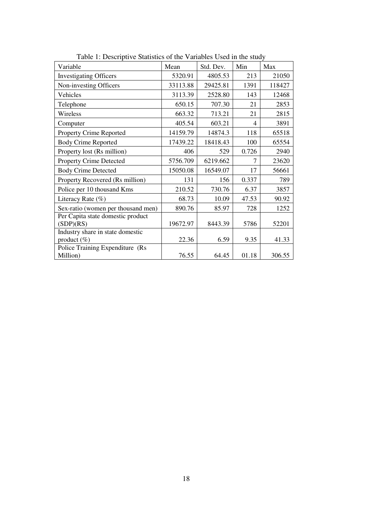| Variable                                           | Mean     | Std. Dev. | Min   | Max    |
|----------------------------------------------------|----------|-----------|-------|--------|
| <b>Investigating Officers</b>                      | 5320.91  | 4805.53   | 213   | 21050  |
| Non-investing Officers                             | 33113.88 | 29425.81  | 1391  | 118427 |
| Vehicles                                           | 3113.39  | 2528.80   | 143   | 12468  |
| Telephone                                          | 650.15   | 707.30    | 21    | 2853   |
| Wireless                                           | 663.32   | 713.21    | 21    | 2815   |
| Computer                                           | 405.54   | 603.21    | 4     | 3891   |
| Property Crime Reported                            | 14159.79 | 14874.3   | 118   | 65518  |
| <b>Body Crime Reported</b>                         | 17439.22 | 18418.43  | 100   | 65554  |
| Property lost (Rs million)                         | 406      | 529       | 0.726 | 2940   |
| <b>Property Crime Detected</b>                     | 5756.709 | 6219.662  | 7     | 23620  |
| <b>Body Crime Detected</b>                         | 15050.08 | 16549.07  | 17    | 56661  |
| Property Recovered (Rs million)                    | 131      | 156       | 0.337 | 789    |
| Police per 10 thousand Kms                         | 210.52   | 730.76    | 6.37  | 3857   |
| Literacy Rate $(\%)$                               | 68.73    | 10.09     | 47.53 | 90.92  |
| Sex-ratio (women per thousand men)                 | 890.76   | 85.97     | 728   | 1252   |
| Per Capita state domestic product<br>(SDP)(RS)     | 19672.97 | 8443.39   | 5786  | 52201  |
| Industry share in state domestic<br>product $(\%)$ | 22.36    | 6.59      | 9.35  | 41.33  |
| Police Training Expenditure (Rs<br>Million)        | 76.55    | 64.45     | 01.18 | 306.55 |

Table 1: Descriptive Statistics of the Variables Used in the study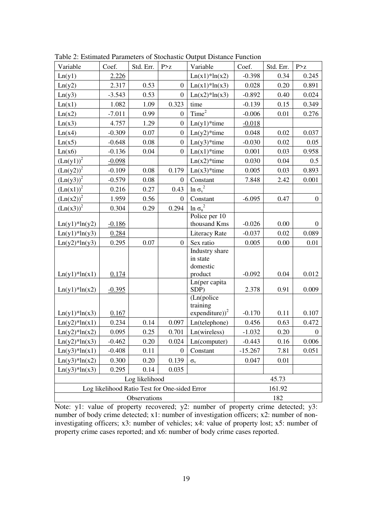| Variable                                      | Coef.    | Std. Err. | P > z            | Variable                     | Coef.     | Std. Err. | P > z            |
|-----------------------------------------------|----------|-----------|------------------|------------------------------|-----------|-----------|------------------|
| Ln(y1)                                        | 2.226    |           |                  | $Ln(x1)*ln(x2)$              | $-0.398$  | 0.34      | 0.245            |
| Ln(y2)                                        | 2.317    | 0.53      | $\mathbf{0}$     | $Ln(x1)*ln(x3)$              | 0.028     | 0.20      | 0.891            |
| Ln(y3)                                        | $-3.543$ | 0.53      | $\boldsymbol{0}$ | $Ln(x2)*ln(x3)$              | $-0.892$  | 0.40      | 0.024            |
| Ln(x1)                                        | 1.082    | 1.09      | 0.323            | time                         | $-0.139$  | 0.15      | 0.349            |
| Ln(x2)                                        | $-7.011$ | 0.99      | $\overline{0}$   | Time <sup>2</sup>            | $-0.006$  | 0.01      | 0.276            |
| Ln(x3)                                        | 4.757    | 1.29      | $\boldsymbol{0}$ | $Ln(y1)*time$                | $-0.018$  |           |                  |
| Ln(x4)                                        | $-0.309$ | 0.07      | $\overline{0}$   | $Ln(y2)*time$                | 0.048     | 0.02      | 0.037            |
| Ln(x5)                                        | $-0.648$ | 0.08      | $\boldsymbol{0}$ | $Ln(y3)*time$                | $-0.030$  | 0.02      | 0.05             |
| Ln(x6)                                        | $-0.136$ | 0.04      | $\boldsymbol{0}$ | $Ln(x1)*time$                | 0.001     | 0.03      | 0.958            |
| $(Ln(y1))^2$                                  | $-0.098$ |           |                  | $Ln(x2)*time$                | 0.030     | 0.04      | 0.5              |
| $(Ln(y2))^2$                                  | $-0.109$ | 0.08      | 0.179            | $Ln(x3)*time$                | 0.005     | 0.03      | 0.893            |
| $(Ln(y3))^{2}$                                | $-0.579$ | $0.08\,$  | $\boldsymbol{0}$ | Constant                     | 7.848     | 2.42      | 0.001            |
| $(Ln(x1))^2$                                  | 0.216    | 0.27      | 0.43             | $\underline{\ln \sigma_v}^2$ |           |           |                  |
| $(Ln(x2))^2$                                  | 1.959    | 0.56      | $\boldsymbol{0}$ | Constant                     | $-6.095$  | 0.47      | $\boldsymbol{0}$ |
| $(Ln(x3))^{2}$                                | 0.304    | 0.29      | 0.294            | $\ln\sigma_u^{\ 2}$          |           |           |                  |
|                                               |          |           |                  | Police per $10$              |           |           |                  |
| $Ln(y1)*ln(y2)$                               | $-0.186$ |           |                  | thousand Kms                 | $-0.026$  | 0.00      | $\overline{0}$   |
| $Ln(y1)*ln(y3)$                               | 0.284    |           |                  | <b>Literacy Rate</b>         | $-0.037$  | 0.02      | 0.089            |
| $Ln(y2)*ln(y3)$                               | 0.295    | 0.07      | $\overline{0}$   | Sex ratio                    | 0.005     | 0.00      | 0.01             |
|                                               |          |           |                  | Industry share<br>in state   |           |           |                  |
|                                               |          |           |                  | domestic                     |           |           |                  |
| $Ln(y1)*ln(x1)$                               | 0.174    |           |                  | product                      | $-0.092$  | 0.04      | 0.012            |
|                                               |          |           |                  | Ln(per capita                |           |           |                  |
| $Ln(y1)*ln(x2)$                               | $-0.395$ |           |                  | SDP)                         | 2.378     | 0.91      | 0.009            |
|                                               |          |           |                  | (Ln(police<br>training       |           |           |                  |
| $Ln(y1)*ln(x3)$                               | 0.167    |           |                  | expenditure)) <sup>2</sup>   | $-0.170$  | 0.11      | 0.107            |
| $Ln(y2)*ln(x1)$                               | 0.234    | 0.14      | 0.097            | Ln(telephone)                | 0.456     | 0.63      | 0.472            |
| $Ln(y2)*ln(x2)$                               | 0.095    | 0.25      | 0.701            | Ln(wireless)                 | $-1.032$  | 0.20      | $\boldsymbol{0}$ |
| $Ln(y2)*ln(x3)$                               | $-0.462$ | $0.20\,$  | 0.024            | Ln(computer)                 | $-0.443$  | 0.16      | 0.006            |
| $Ln(y3)*ln(x1)$                               | $-0.408$ | 0.11      | $\theta$         | Constant                     | $-15.267$ | 7.81      | 0.051            |
| $Ln(y3)*ln(x2)$                               | 0.300    | 0.20      | 0.139            | $\sigma_{\rm v}$             | 0.047     | 0.01      |                  |
| $Ln(y3)*ln(x3)$                               | 0.295    | 0.14      | 0.035            |                              |           |           |                  |
| Log likelihood                                |          |           |                  |                              |           | 45.73     |                  |
| Log likelihood Ratio Test for One-sided Error |          |           |                  |                              | 161.92    |           |                  |
| Observations                                  |          |           |                  |                              |           | 182       |                  |

Table 2: Estimated Parameters of Stochastic Output Distance Function

Note: y1: value of property recovered; y2: number of property crime detected; y3: number of body crime detected; x1: number of investigation officers; x2: number of noninvestigating officers; x3: number of vehicles; x4: value of property lost; x5: number of property crime cases reported; and x6: number of body crime cases reported.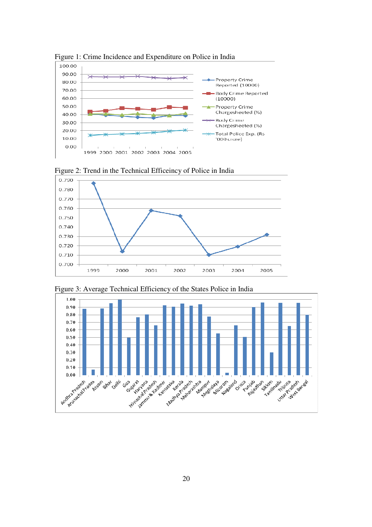

Figure 1: Crime Incidence and Expenditure on Police in India



Figure 2: Trend in the Technical Efficeincy of Police in India

0.750 0.740 0.730 0.720 0.710 0.700